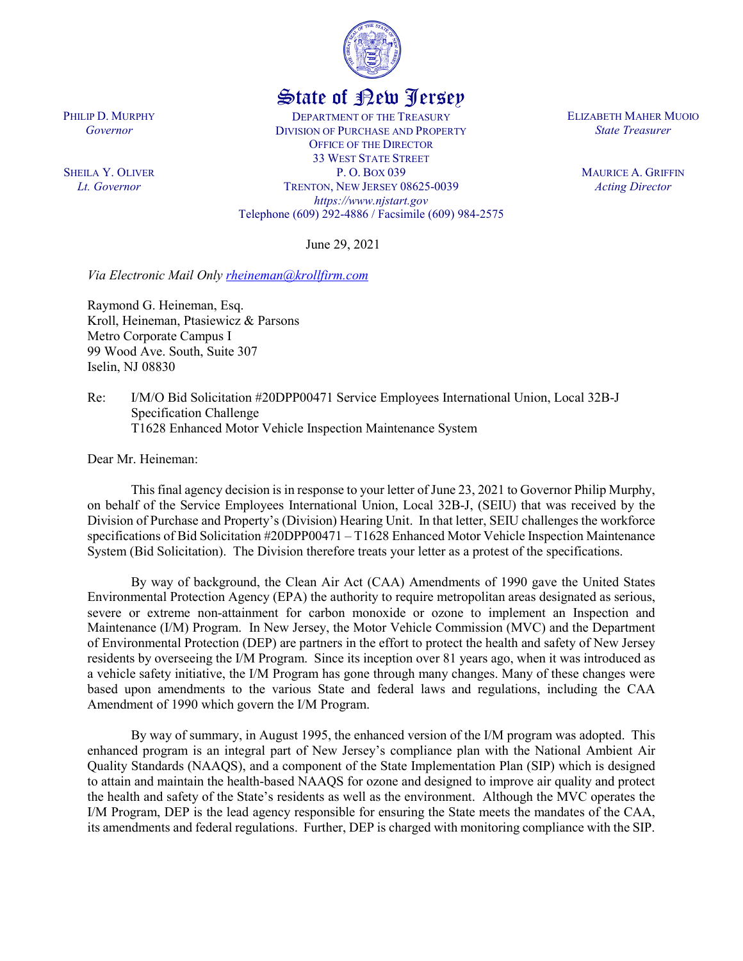

## State of New Jersey

DEPARTMENT OF THE TREASURY DIVISION OF PURCHASE AND PROPERTY OFFICE OF THE DIRECTOR 33 WEST STATE STREET P. O. BOX 039 TRENTON, NEW JERSEY 08625-0039 *https://www.njstart.gov* Telephone (609) 292-4886 / Facsimile (609) 984-2575

June 29, 2021

*Via Electronic Mail Only [rheineman@krollfirm.com](mailto:rheineman@krollfirm.com)*

Raymond G. Heineman, Esq. Kroll, Heineman, Ptasiewicz & Parsons Metro Corporate Campus I 99 Wood Ave. South, Suite 307 Iselin, NJ 08830

Re: I/M/O Bid Solicitation #20DPP00471 Service Employees International Union, Local 32B-J Specification Challenge T1628 Enhanced Motor Vehicle Inspection Maintenance System

Dear Mr. Heineman:

This final agency decision is in response to your letter of June 23, 2021 to Governor Philip Murphy, on behalf of the Service Employees International Union, Local 32B-J, (SEIU) that was received by the Division of Purchase and Property's (Division) Hearing Unit. In that letter, SEIU challenges the workforce specifications of Bid Solicitation #20DPP00471 – T1628 Enhanced Motor Vehicle Inspection Maintenance System (Bid Solicitation). The Division therefore treats your letter as a protest of the specifications.

By way of background, the Clean Air Act (CAA) Amendments of 1990 gave the United States Environmental Protection Agency (EPA) the authority to require metropolitan areas designated as serious, severe or extreme non-attainment for carbon monoxide or ozone to implement an Inspection and Maintenance (I/M) Program. In New Jersey, the Motor Vehicle Commission (MVC) and the Department of Environmental Protection (DEP) are partners in the effort to protect the health and safety of New Jersey residents by overseeing the I/M Program. Since its inception over 81 years ago, when it was introduced as a vehicle safety initiative, the I/M Program has gone through many changes. Many of these changes were based upon amendments to the various State and federal laws and regulations, including the CAA Amendment of 1990 which govern the I/M Program.

By way of summary, in August 1995, the enhanced version of the I/M program was adopted. This enhanced program is an integral part of New Jersey's compliance plan with the National Ambient Air Quality Standards (NAAQS), and a component of the State Implementation Plan (SIP) which is designed to attain and maintain the health-based NAAQS for ozone and designed to improve air quality and protect the health and safety of the State's residents as well as the environment. Although the MVC operates the I/M Program, DEP is the lead agency responsible for ensuring the State meets the mandates of the CAA, its amendments and federal regulations. Further, DEP is charged with monitoring compliance with the SIP.

PHILIP D. MURPHY *Governor*

SHEILA Y. OLIVER *Lt. Governor*

ELIZABETH MAHER MUOIO *State Treasurer*

> MAURICE A. GRIFFIN *Acting Director*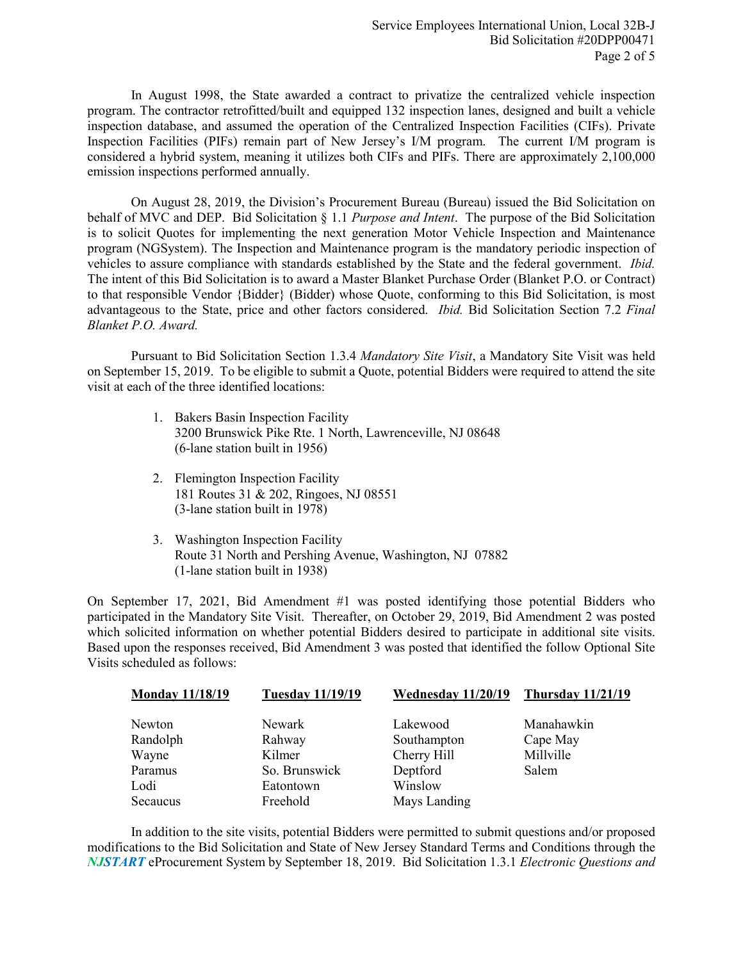In August 1998, the State awarded a contract to privatize the centralized vehicle inspection program. The contractor retrofitted/built and equipped 132 inspection lanes, designed and built a vehicle inspection database, and assumed the operation of the Centralized Inspection Facilities (CIFs). Private Inspection Facilities (PIFs) remain part of New Jersey's I/M program. The current I/M program is considered a hybrid system, meaning it utilizes both CIFs and PIFs. There are approximately 2,100,000 emission inspections performed annually.

On August 28, 2019, the Division's Procurement Bureau (Bureau) issued the Bid Solicitation on behalf of MVC and DEP. Bid Solicitation § 1.1 *Purpose and Intent*. The purpose of the Bid Solicitation is to solicit Quotes for implementing the next generation Motor Vehicle Inspection and Maintenance program (NGSystem). The Inspection and Maintenance program is the mandatory periodic inspection of vehicles to assure compliance with standards established by the State and the federal government. *Ibid.* The intent of this Bid Solicitation is to award a Master Blanket Purchase Order (Blanket P.O. or Contract) to that responsible Vendor {Bidder} (Bidder) whose Quote, conforming to this Bid Solicitation, is most advantageous to the State, price and other factors considered. *Ibid.* Bid Solicitation Section 7.2 *Final Blanket P.O. Award.*

Pursuant to Bid Solicitation Section 1.3.4 *Mandatory Site Visit*, a Mandatory Site Visit was held on September 15, 2019. To be eligible to submit a Quote, potential Bidders were required to attend the site visit at each of the three identified locations:

- 1. Bakers Basin Inspection Facility 3200 Brunswick Pike Rte. 1 North, Lawrenceville, NJ 08648 (6-lane station built in 1956)
- 2. Flemington Inspection Facility 181 Routes 31 & 202, Ringoes, NJ 08551 (3-lane station built in 1978)
- 3. Washington Inspection Facility Route 31 North and Pershing Avenue, Washington, NJ 07882 (1-lane station built in 1938)

On September 17, 2021, Bid Amendment #1 was posted identifying those potential Bidders who participated in the Mandatory Site Visit. Thereafter, on October 29, 2019, Bid Amendment 2 was posted which solicited information on whether potential Bidders desired to participate in additional site visits. Based upon the responses received, Bid Amendment 3 was posted that identified the follow Optional Site Visits scheduled as follows:

| <b>Monday 11/18/19</b> | <b>Tuesday 11/19/19</b> | Wednesday 11/20/19 | <b>Thursday 11/21/19</b> |
|------------------------|-------------------------|--------------------|--------------------------|
| Newton                 | Newark                  | Lakewood           | Manahawkin               |
| Randolph               | Rahway                  | Southampton        | Cape May                 |
| Wayne                  | Kilmer                  | Cherry Hill        | Millville                |
| Paramus                | So. Brunswick           | Deptford           | Salem                    |
| Lodi                   | Eatontown               | Winslow            |                          |
| Secaucus               | Freehold                | Mays Landing       |                          |

In addition to the site visits, potential Bidders were permitted to submit questions and/or proposed modifications to the Bid Solicitation and State of New Jersey Standard Terms and Conditions through the *NJSTART* eProcurement System by September 18, 2019. Bid Solicitation 1.3.1 *Electronic Questions and*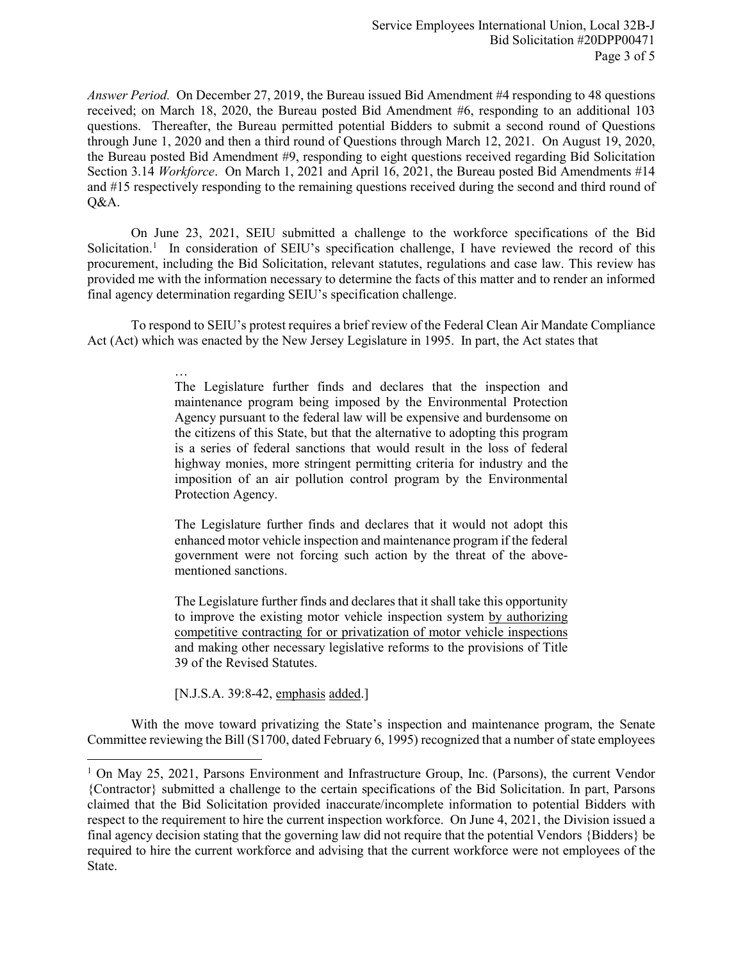*Answer Period.* On December 27, 2019, the Bureau issued Bid Amendment #4 responding to 48 questions received; on March 18, 2020, the Bureau posted Bid Amendment #6, responding to an additional 103 questions. Thereafter, the Bureau permitted potential Bidders to submit a second round of Questions through June 1, 2020 and then a third round of Questions through March 12, 2021. On August 19, 2020, the Bureau posted Bid Amendment #9, responding to eight questions received regarding Bid Solicitation Section 3.14 *Workforce*. On March 1, 2021 and April 16, 2021, the Bureau posted Bid Amendments #14 and #15 respectively responding to the remaining questions received during the second and third round of Q&A.

On June 23, 2021, SEIU submitted a challenge to the workforce specifications of the Bid Solicitation.<sup>[1](#page-2-0)</sup> In consideration of SEIU's specification challenge, I have reviewed the record of this procurement, including the Bid Solicitation, relevant statutes, regulations and case law. This review has provided me with the information necessary to determine the facts of this matter and to render an informed final agency determination regarding SEIU's specification challenge.

To respond to SEIU's protest requires a brief review of the Federal Clean Air Mandate Compliance Act (Act) which was enacted by the New Jersey Legislature in 1995. In part, the Act states that

> … The Legislature further finds and declares that the inspection and maintenance program being imposed by the Environmental Protection Agency pursuant to the federal law will be expensive and burdensome on the citizens of this State, but that the alternative to adopting this program is a series of federal sanctions that would result in the loss of federal highway monies, more stringent permitting criteria for industry and the imposition of an air pollution control program by the Environmental Protection Agency.

> The Legislature further finds and declares that it would not adopt this enhanced motor vehicle inspection and maintenance program if the federal government were not forcing such action by the threat of the abovementioned sanctions.

> The Legislature further finds and declares that it shall take this opportunity to improve the existing motor vehicle inspection system by authorizing competitive contracting for or privatization of motor vehicle inspections and making other necessary legislative reforms to the provisions of Title 39 of the Revised Statutes.

[N.J.S.A. 39:8-42, emphasis added.]

 $\overline{\phantom{a}}$ 

With the move toward privatizing the State's inspection and maintenance program, the Senate Committee reviewing the Bill (S1700, dated February 6, 1995) recognized that a number of state employees

<span id="page-2-0"></span><sup>&</sup>lt;sup>1</sup> On May 25, 2021, Parsons Environment and Infrastructure Group, Inc. (Parsons), the current Vendor {Contractor} submitted a challenge to the certain specifications of the Bid Solicitation. In part, Parsons claimed that the Bid Solicitation provided inaccurate/incomplete information to potential Bidders with respect to the requirement to hire the current inspection workforce. On June 4, 2021, the Division issued a final agency decision stating that the governing law did not require that the potential Vendors {Bidders} be required to hire the current workforce and advising that the current workforce were not employees of the State.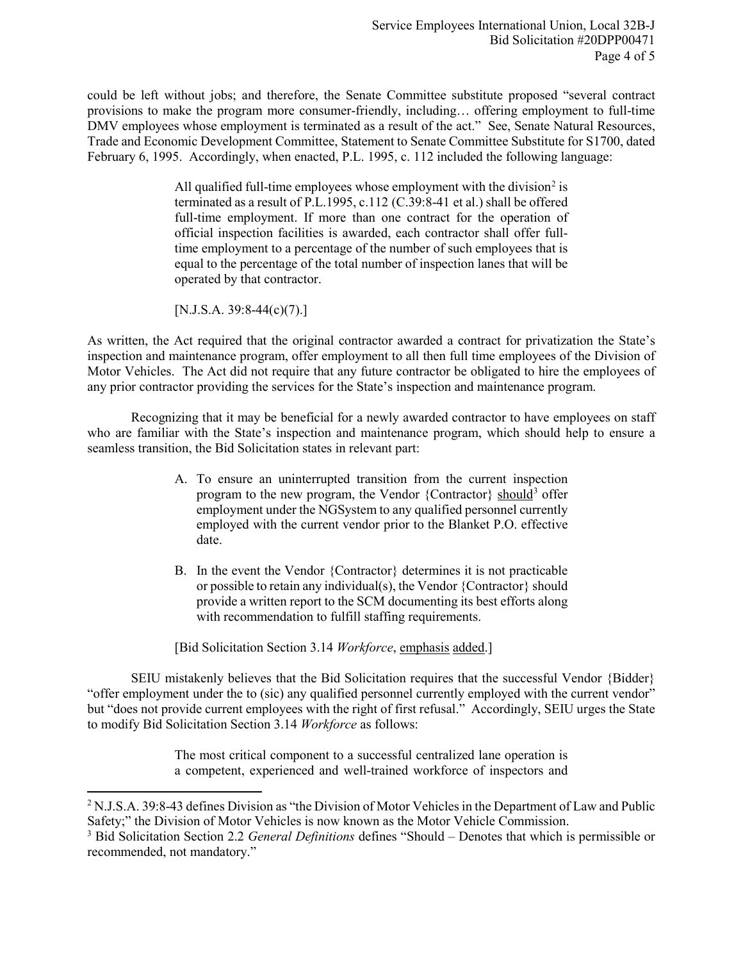could be left without jobs; and therefore, the Senate Committee substitute proposed "several contract provisions to make the program more consumer-friendly, including… offering employment to full-time DMV employees whose employment is terminated as a result of the act." See, Senate Natural Resources, Trade and Economic Development Committee, Statement to Senate Committee Substitute for S1700, dated February 6, 1995. Accordingly, when enacted, P.L. 1995, c. 112 included the following language:

> All qualified full-time employees whose employment with the division<sup>[2](#page-3-0)</sup> is terminated as a result of P.L.1995, c.112 (C.39:8-41 et al.) shall be offered full-time employment. If more than one contract for the operation of official inspection facilities is awarded, each contractor shall offer fulltime employment to a percentage of the number of such employees that is equal to the percentage of the total number of inspection lanes that will be operated by that contractor.

[N.J.S.A. 39:8-44(c)(7).]

l

As written, the Act required that the original contractor awarded a contract for privatization the State's inspection and maintenance program, offer employment to all then full time employees of the Division of Motor Vehicles. The Act did not require that any future contractor be obligated to hire the employees of any prior contractor providing the services for the State's inspection and maintenance program.

Recognizing that it may be beneficial for a newly awarded contractor to have employees on staff who are familiar with the State's inspection and maintenance program, which should help to ensure a seamless transition, the Bid Solicitation states in relevant part:

- A. To ensure an uninterrupted transition from the current inspection program to the new program, the Vendor {Contractor} should<sup>[3](#page-3-1)</sup> offer employment under the NGSystem to any qualified personnel currently employed with the current vendor prior to the Blanket P.O. effective date.
- B. In the event the Vendor {Contractor} determines it is not practicable or possible to retain any individual(s), the Vendor {Contractor} should provide a written report to the SCM documenting its best efforts along with recommendation to fulfill staffing requirements.

[Bid Solicitation Section 3.14 *Workforce*, emphasis added.]

SEIU mistakenly believes that the Bid Solicitation requires that the successful Vendor {Bidder} "offer employment under the to (sic) any qualified personnel currently employed with the current vendor" but "does not provide current employees with the right of first refusal." Accordingly, SEIU urges the State to modify Bid Solicitation Section 3.14 *Workforce* as follows:

> The most critical component to a successful centralized lane operation is a competent, experienced and well-trained workforce of inspectors and

<span id="page-3-0"></span><sup>&</sup>lt;sup>2</sup> N.J.S.A. 39:8-43 defines Division as "the Division of Motor Vehicles in the Department of Law and Public Safety;" the Division of Motor Vehicles is now known as the Motor Vehicle Commission.

<span id="page-3-1"></span><sup>3</sup> Bid Solicitation Section 2.2 *General Definitions* defines "Should – Denotes that which is permissible or recommended, not mandatory."